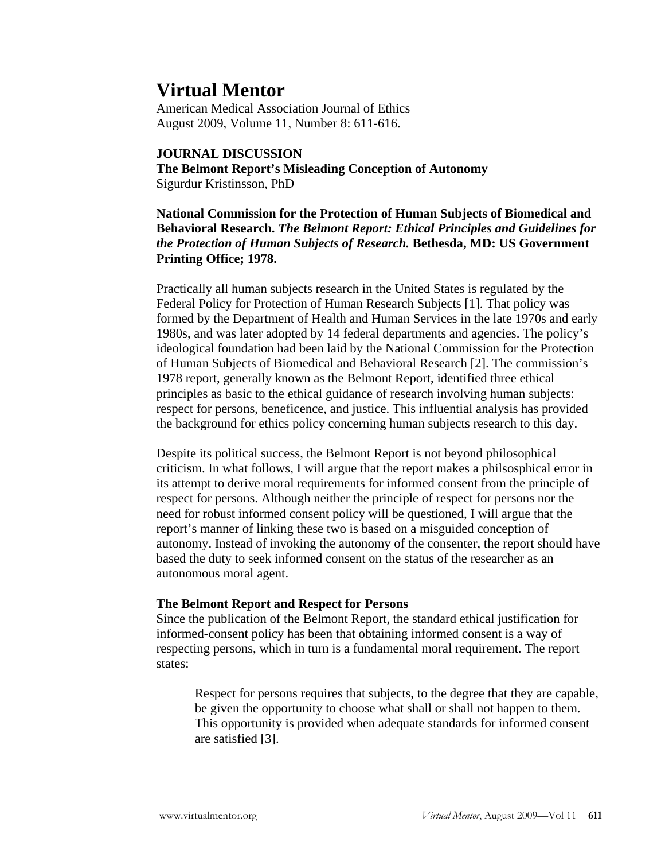# **Virtual Mentor**

American Medical Association Journal of Ethics August 2009, Volume 11, Number 8: 611-616.

### **JOURNAL DISCUSSION**

**The Belmont Report's Misleading Conception of Autonomy**  Sigurdur Kristinsson, PhD

**National Commission for the Protection of Human Subjects of Biomedical and Behavioral Research.** *The Belmont Report: Ethical Principles and Guidelines for the Protection of Human Subjects of Research.* **Bethesda, MD: US Government Printing Office; 1978.** 

Practically all human subjects research in the United States is regulated by the Federal Policy for Protection of Human Research Subjects [1]. That policy was formed by the Department of Health and Human Services in the late 1970s and early 1980s, and was later adopted by 14 federal departments and agencies. The policy's ideological foundation had been laid by the National Commission for the Protection of Human Subjects of Biomedical and Behavioral Research [2]. The commission's 1978 report, generally known as the Belmont Report, identified three ethical principles as basic to the ethical guidance of research involving human subjects: respect for persons, beneficence, and justice. This influential analysis has provided the background for ethics policy concerning human subjects research to this day.

Despite its political success, the Belmont Report is not beyond philosophical criticism. In what follows, I will argue that the report makes a philsosphical error in its attempt to derive moral requirements for informed consent from the principle of respect for persons. Although neither the principle of respect for persons nor the need for robust informed consent policy will be questioned, I will argue that the report's manner of linking these two is based on a misguided conception of autonomy. Instead of invoking the autonomy of the consenter, the report should have based the duty to seek informed consent on the status of the researcher as an autonomous moral agent.

### **The Belmont Report and Respect for Persons**

Since the publication of the Belmont Report, the standard ethical justification for informed-consent policy has been that obtaining informed consent is a way of respecting persons, which in turn is a fundamental moral requirement. The report states:

Respect for persons requires that subjects, to the degree that they are capable, be given the opportunity to choose what shall or shall not happen to them. This opportunity is provided when adequate standards for informed consent are satisfied [3].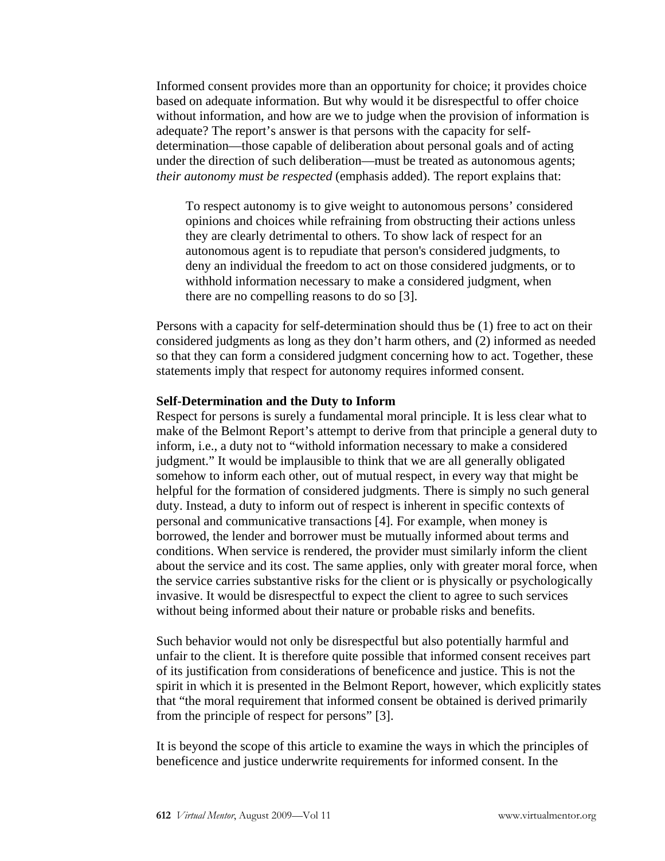Informed consent provides more than an opportunity for choice; it provides choice based on adequate information. But why would it be disrespectful to offer choice without information, and how are we to judge when the provision of information is adequate? The report's answer is that persons with the capacity for selfdetermination—those capable of deliberation about personal goals and of acting under the direction of such deliberation—must be treated as autonomous agents; *their autonomy must be respected* (emphasis added). The report explains that:

To respect autonomy is to give weight to autonomous persons' considered opinions and choices while refraining from obstructing their actions unless they are clearly detrimental to others. To show lack of respect for an autonomous agent is to repudiate that person's considered judgments, to deny an individual the freedom to act on those considered judgments, or to withhold information necessary to make a considered judgment, when there are no compelling reasons to do so [3].

Persons with a capacity for self-determination should thus be (1) free to act on their considered judgments as long as they don't harm others, and (2) informed as needed so that they can form a considered judgment concerning how to act. Together, these statements imply that respect for autonomy requires informed consent.

#### **Self-Determination and the Duty to Inform**

Respect for persons is surely a fundamental moral principle. It is less clear what to make of the Belmont Report's attempt to derive from that principle a general duty to inform, i.e., a duty not to "withold information necessary to make a considered judgment." It would be implausible to think that we are all generally obligated somehow to inform each other, out of mutual respect, in every way that might be helpful for the formation of considered judgments. There is simply no such general duty. Instead, a duty to inform out of respect is inherent in specific contexts of personal and communicative transactions [4]. For example, when money is borrowed, the lender and borrower must be mutually informed about terms and conditions. When service is rendered, the provider must similarly inform the client about the service and its cost. The same applies, only with greater moral force, when the service carries substantive risks for the client or is physically or psychologically invasive. It would be disrespectful to expect the client to agree to such services without being informed about their nature or probable risks and benefits.

Such behavior would not only be disrespectful but also potentially harmful and unfair to the client. It is therefore quite possible that informed consent receives part of its justification from considerations of beneficence and justice. This is not the spirit in which it is presented in the Belmont Report, however, which explicitly states that "the moral requirement that informed consent be obtained is derived primarily from the principle of respect for persons" [3].

It is beyond the scope of this article to examine the ways in which the principles of beneficence and justice underwrite requirements for informed consent. In the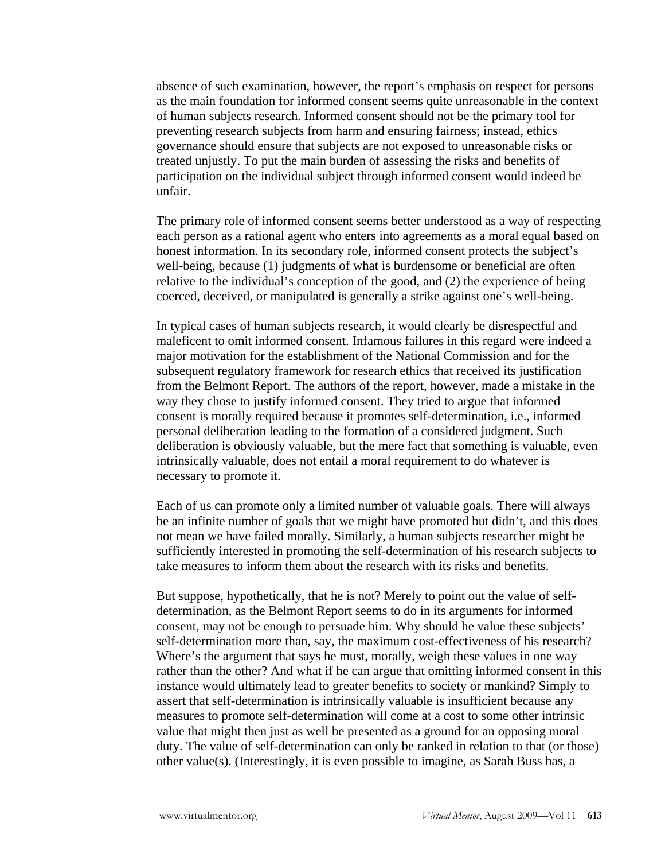absence of such examination, however, the report's emphasis on respect for persons as the main foundation for informed consent seems quite unreasonable in the context of human subjects research. Informed consent should not be the primary tool for preventing research subjects from harm and ensuring fairness; instead, ethics governance should ensure that subjects are not exposed to unreasonable risks or treated unjustly. To put the main burden of assessing the risks and benefits of participation on the individual subject through informed consent would indeed be unfair.

The primary role of informed consent seems better understood as a way of respecting each person as a rational agent who enters into agreements as a moral equal based on honest information. In its secondary role, informed consent protects the subject's well-being, because (1) judgments of what is burdensome or beneficial are often relative to the individual's conception of the good, and (2) the experience of being coerced, deceived, or manipulated is generally a strike against one's well-being.

In typical cases of human subjects research, it would clearly be disrespectful and maleficent to omit informed consent. Infamous failures in this regard were indeed a major motivation for the establishment of the National Commission and for the subsequent regulatory framework for research ethics that received its justification from the Belmont Report. The authors of the report, however, made a mistake in the way they chose to justify informed consent. They tried to argue that informed consent is morally required because it promotes self-determination, i.e., informed personal deliberation leading to the formation of a considered judgment. Such deliberation is obviously valuable, but the mere fact that something is valuable, even intrinsically valuable, does not entail a moral requirement to do whatever is necessary to promote it.

Each of us can promote only a limited number of valuable goals. There will always be an infinite number of goals that we might have promoted but didn't, and this does not mean we have failed morally. Similarly, a human subjects researcher might be sufficiently interested in promoting the self-determination of his research subjects to take measures to inform them about the research with its risks and benefits.

But suppose, hypothetically, that he is not? Merely to point out the value of selfdetermination, as the Belmont Report seems to do in its arguments for informed consent, may not be enough to persuade him. Why should he value these subjects' self-determination more than, say, the maximum cost-effectiveness of his research? Where's the argument that says he must, morally, weigh these values in one way rather than the other? And what if he can argue that omitting informed consent in this instance would ultimately lead to greater benefits to society or mankind? Simply to assert that self-determination is intrinsically valuable is insufficient because any measures to promote self-determination will come at a cost to some other intrinsic value that might then just as well be presented as a ground for an opposing moral duty. The value of self-determination can only be ranked in relation to that (or those) other value(s). (Interestingly, it is even possible to imagine, as Sarah Buss has, a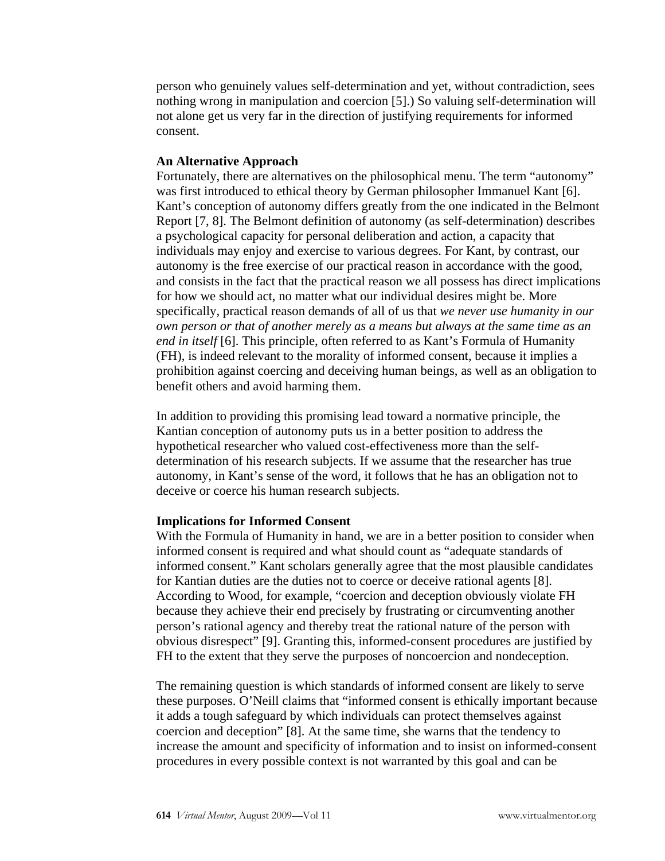person who genuinely values self-determination and yet, without contradiction, sees nothing wrong in manipulation and coercion [5].) So valuing self-determination will not alone get us very far in the direction of justifying requirements for informed consent.

#### **An Alternative Approach**

Fortunately, there are alternatives on the philosophical menu. The term "autonomy" was first introduced to ethical theory by German philosopher Immanuel Kant [6]. Kant's conception of autonomy differs greatly from the one indicated in the Belmont Report [7, 8]. The Belmont definition of autonomy (as self-determination) describes a psychological capacity for personal deliberation and action, a capacity that individuals may enjoy and exercise to various degrees. For Kant, by contrast, our autonomy is the free exercise of our practical reason in accordance with the good, and consists in the fact that the practical reason we all possess has direct implications for how we should act, no matter what our individual desires might be. More specifically, practical reason demands of all of us that *we never use humanity in our own person or that of another merely as a means but always at the same time as an end in itself* [6]. This principle, often referred to as Kant's Formula of Humanity (FH), is indeed relevant to the morality of informed consent, because it implies a prohibition against coercing and deceiving human beings, as well as an obligation to benefit others and avoid harming them.

In addition to providing this promising lead toward a normative principle, the Kantian conception of autonomy puts us in a better position to address the hypothetical researcher who valued cost-effectiveness more than the selfdetermination of his research subjects. If we assume that the researcher has true autonomy, in Kant's sense of the word, it follows that he has an obligation not to deceive or coerce his human research subjects.

#### **Implications for Informed Consent**

With the Formula of Humanity in hand, we are in a better position to consider when informed consent is required and what should count as "adequate standards of informed consent." Kant scholars generally agree that the most plausible candidates for Kantian duties are the duties not to coerce or deceive rational agents [8]. According to Wood, for example, "coercion and deception obviously violate FH because they achieve their end precisely by frustrating or circumventing another person's rational agency and thereby treat the rational nature of the person with obvious disrespect" [9]. Granting this, informed-consent procedures are justified by FH to the extent that they serve the purposes of noncoercion and nondeception.

The remaining question is which standards of informed consent are likely to serve these purposes. O'Neill claims that "informed consent is ethically important because it adds a tough safeguard by which individuals can protect themselves against coercion and deception" [8]. At the same time, she warns that the tendency to increase the amount and specificity of information and to insist on informed-consent procedures in every possible context is not warranted by this goal and can be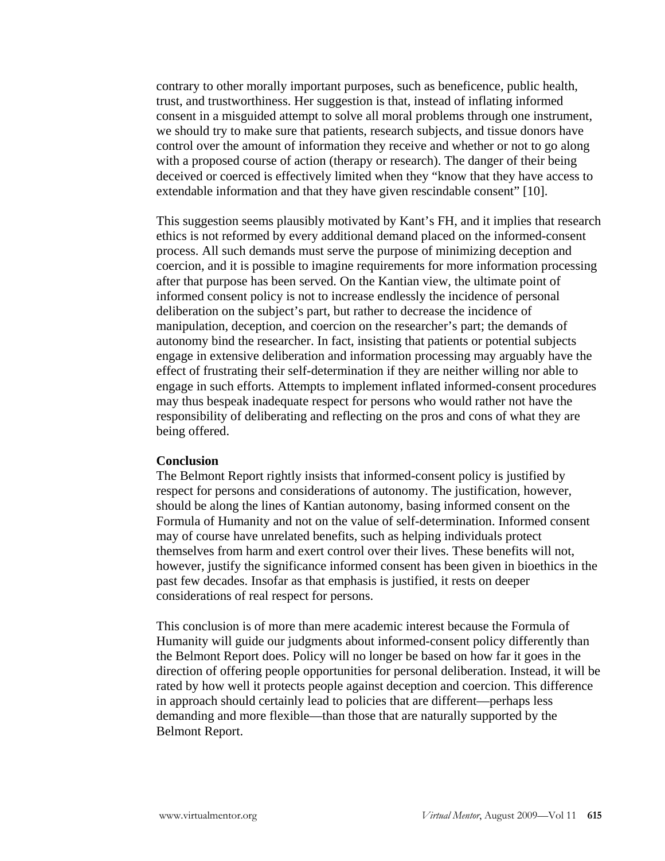contrary to other morally important purposes, such as beneficence, public health, trust, and trustworthiness. Her suggestion is that, instead of inflating informed consent in a misguided attempt to solve all moral problems through one instrument, we should try to make sure that patients, research subjects, and tissue donors have control over the amount of information they receive and whether or not to go along with a proposed course of action (therapy or research). The danger of their being deceived or coerced is effectively limited when they "know that they have access to extendable information and that they have given rescindable consent" [10].

This suggestion seems plausibly motivated by Kant's FH, and it implies that research ethics is not reformed by every additional demand placed on the informed-consent process. All such demands must serve the purpose of minimizing deception and coercion, and it is possible to imagine requirements for more information processing after that purpose has been served. On the Kantian view, the ultimate point of informed consent policy is not to increase endlessly the incidence of personal deliberation on the subject's part, but rather to decrease the incidence of manipulation, deception, and coercion on the researcher's part; the demands of autonomy bind the researcher. In fact, insisting that patients or potential subjects engage in extensive deliberation and information processing may arguably have the effect of frustrating their self-determination if they are neither willing nor able to engage in such efforts. Attempts to implement inflated informed-consent procedures may thus bespeak inadequate respect for persons who would rather not have the responsibility of deliberating and reflecting on the pros and cons of what they are being offered.

#### **Conclusion**

The Belmont Report rightly insists that informed-consent policy is justified by respect for persons and considerations of autonomy. The justification, however, should be along the lines of Kantian autonomy, basing informed consent on the Formula of Humanity and not on the value of self-determination. Informed consent may of course have unrelated benefits, such as helping individuals protect themselves from harm and exert control over their lives. These benefits will not, however, justify the significance informed consent has been given in bioethics in the past few decades. Insofar as that emphasis is justified, it rests on deeper considerations of real respect for persons.

This conclusion is of more than mere academic interest because the Formula of Humanity will guide our judgments about informed-consent policy differently than the Belmont Report does. Policy will no longer be based on how far it goes in the direction of offering people opportunities for personal deliberation. Instead, it will be rated by how well it protects people against deception and coercion. This difference in approach should certainly lead to policies that are different—perhaps less demanding and more flexible—than those that are naturally supported by the Belmont Report.